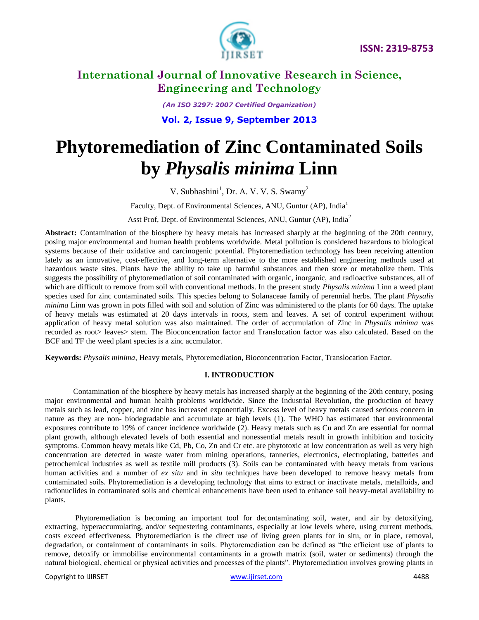

*(An ISO 3297: 2007 Certified Organization)*

**Vol. 2, Issue 9, September 2013**

# **Phytoremediation of Zinc Contaminated Soils by** *Physalis minima* **Linn**

V. Subhashini<sup>1</sup>, Dr. A. V. V. S. Swamy<sup>2</sup>

Faculty, Dept. of Environmental Sciences, ANU, Guntur (AP), India<sup>1</sup>

Asst Prof, Dept. of Environmental Sciences, ANU, Guntur (AP), India<sup>2</sup>

**Abstract:** Contamination of the biosphere by heavy metals has increased sharply at the beginning of the 20th century, posing major environmental and human health problems worldwide. Metal pollution is considered hazardous to biological systems because of their oxidative and carcinogenic potential. Phytoremediation technology has been receiving attention lately as an innovative, cost-effective, and long-term alternative to the more established engineering methods used at hazardous waste sites. Plants have the ability to take up harmful substances and then store or metabolize them. This suggests the possibility of phytoremediation of soil contaminated with organic, inorganic, and radioactive substances, all of which are difficult to remove from soil with conventional methods. In the present study *Physalis minima* Linn a weed plant species used for zinc contaminated soils. This species belong to [Solanaceae](http://en.wikipedia.org/wiki/Solanaceae) family of perennial herbs. The plant *Physalis minima* Linn was grown in pots filled with soil and solution of Zinc was administered to the plants for 60 days. The uptake of heavy metals was estimated at 20 days intervals in roots, stem and leaves. A set of control experiment without application of heavy metal solution was also maintained. The order of accumulation of Zinc in *Physalis minima* was recorded as root> leaves> stem. The Bioconcentration factor and Translocation factor was also calculated. Based on the BCF and TF the weed plant species is a zinc accmulator.

**Keywords:** *Physalis minima*, Heavy metals, Phytoremediation, Bioconcentration Factor, Translocation Factor.

#### **I. INTRODUCTION**

Contamination of the biosphere by heavy metals has increased sharply at the beginning of the 20th century, posing major environmental and human health problems worldwide. Since the Industrial Revolution, the production of heavy metals such as lead, copper, and zinc has increased exponentially. Excess level of heavy metals caused serious concern in nature as they are non- biodegradable and accumulate at high levels (1). The WHO has estimated that environmental exposures contribute to 19% of cancer incidence worldwide (2). Heavy metals such as Cu and Zn are essential for normal plant growth, although elevated levels of both essential and nonessential metals result in growth inhibition and toxicity symptoms. Common heavy metals like Cd, Pb, Co, Zn and Cr etc. are phytotoxic at low concentration as well as very high concentration are detected in waste water from mining operations, tanneries, electronics, electroplating, batteries and petrochemical industries as well as textile mill products (3). Soils can be contaminated with heavy metals from various human activities and a number of *ex situ* and *in situ* techniques have been developed to remove heavy metals from contaminated soils. Phytoremediation is a developing technology that aims to extract or inactivate metals, metalloids, and radionuclides in contaminated soils and chemical enhancements have been used to enhance soil heavy-metal availability to plants.

Phytoremediation is becoming an important tool for decontaminating soil, water, and air by detoxifying, extracting, hyperaccumulating, and/or sequestering contaminants, especially at low levels where, using current methods, costs exceed effectiveness. Phytoremediation is the direct use of living green plants for in situ, or in place, removal, degradation, or containment of contaminants in soils. Phytoremediation can be defined as "the efficient use of plants to remove, detoxify or immobilise environmental contaminants in a growth matrix (soil, water or sediments) through the natural biological, chemical or physical activities and processes of the plants". Phytoremediation involves growing plants in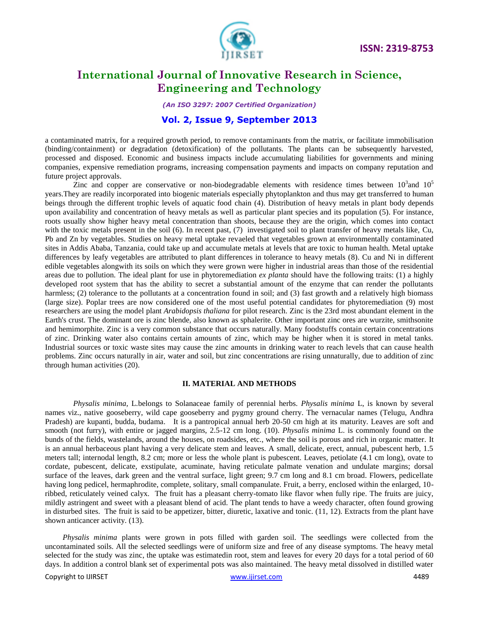

*(An ISO 3297: 2007 Certified Organization)*

#### **Vol. 2, Issue 9, September 2013**

a contaminated matrix, for a required growth period, to remove contaminants from the matrix, or facilitate immobilisation (binding/containment) or degradation (detoxification) of the pollutants. The plants can be subsequently harvested, processed and disposed. Economic and business impacts include accumulating liabilities for governments and mining companies, expensive remediation programs, increasing compensation payments and impacts on company reputation and future project approvals.

Zinc and copper are conservative or non-biodegradable elements with residence times between  $10^3$  and  $10^5$ years.They are readily incorporated into biogenic materials especially phytoplankton and thus may get transferred to human beings through the different trophic levels of aquatic food chain (4). Distribution of heavy metals in plant body depends upon availability and concentration of heavy metals as well as particular plant species and its population (5). For instance, roots usually show higher heavy metal concentration than shoots, because they are the origin, which comes into contact with the toxic metals present in the soil (6). In recent past, (7) investigated soil to plant transfer of heavy metals like, Cu, Pb and Zn by vegetables. Studies on heavy metal uptake revaeled that vegetables grown at environmentally contaminated sites in Addis Ababa, Tanzania, could take up and accumulate metals at levels that are toxic to human health. Metal uptake differences by leafy vegetables are attributed to plant differences in tolerance to heavy metals (8). Cu and Ni in different edible vegetables alongwith its soils on which they were grown were higher in industrial areas than those of the residential areas due to pollution. The ideal plant for use in phytoremediation *ex planta* should have the following traits: (1) a highly developed root system that has the ability to secret a substantial amount of the enzyme that can render the pollutants harmless; (2) tolerance to the pollutants at a concentration found in soil; and (3) fast growth and a relatively high biomass (large size). Poplar trees are now considered one of the most useful potential candidates for phytoremediation (9) most researchers are using the model plant *Arabidopsis thaliana* for pilot research. Zinc is the 23rd most abundant element in the Earth's crust. The dominant ore is zinc blende, also known as sphalerite. Other important zinc ores are wurzite, smithsonite and hemimorphite. Zinc is a very common substance that occurs naturally. Many foodstuffs contain certain concentrations of zinc. Drinking water also contains certain amounts of zinc, which may be higher when it is stored in metal tanks. Industrial sources or toxic waste sites may cause the zinc amounts in [drinking water](http://www.lenntech.com/drinking-water-FAQ.htm) to reach levels that can cause health problems. Zinc occurs naturally in air, [water](http://www.lenntech.com/water-FAQ.htm) and soil, but zinc concentrations are rising unnaturally, due to addition of zinc through human activities (20).

#### **II. MATERIAL AND METHODS**

*Physalis minima,* L*.*belongs to [Solanaceae](http://en.wikipedia.org/wiki/Solanaceae) family of perennial herbs. *Physalis minima* L, is known by several names viz., native gooseberry, wild cape gooseberry and pygmy ground cherry. The vernacular names (Telugu, Andhra Pradesh) are kupanti, budda, budama. It is a pantropical annual herb 20-50 cm high at its maturity. Leaves are soft and smooth (not furry), with entire or jagged margins, 2.5-12 cm long. (10). *Physalis minima* L. is commonly found on the bunds of the fields, wastelands, around the houses, on roadsides, etc., where the soil is porous and rich in organic matter. It is an annual herbaceous plant having a very delicate stem and leaves. A small, delicate, erect, annual, pubescent herb, 1.5 meters tall; internodal length, 8.2 cm; more or less the whole plant is pubescent. Leaves, petiolate (4.1 cm long), ovate to cordate, pubescent, delicate, exstipulate, acuminate, having reticulate palmate venation and undulate margins; dorsal surface of the leaves, dark green and the ventral surface, light green; 9.7 cm long and 8.1 cm broad. Flowers, pedicellate having long pedicel, hermaphrodite, complete, solitary, small companulate. Fruit, a berry, enclosed within the enlarged, 10 ribbed, reticulately veined calyx. The fruit has a pleasant cherry-tomato like flavor when fully ripe. The fruits are juicy, mildly astringent and sweet with a pleasant blend of acid. The plant tends to have a weedy character, often found growing in disturbed sites. The fruit is said to be appetizer, bitter, diuretic, laxative and tonic. (11, 12). Extracts from the plant have shown anticancer activity. (13).

 *Physalis minima* plants were grown in pots filled with garden soil. The seedlings were collected from the uncontaminated soils. All the selected seedlings were of uniform size and free of any disease symptoms. The heavy metal selected for the study was zinc, the uptake was estimatedin root, stem and leaves for every 20 days for a total period of 60 days. In addition a control blank set of experimental pots was also maintained. The heavy metal dissolved in distilled water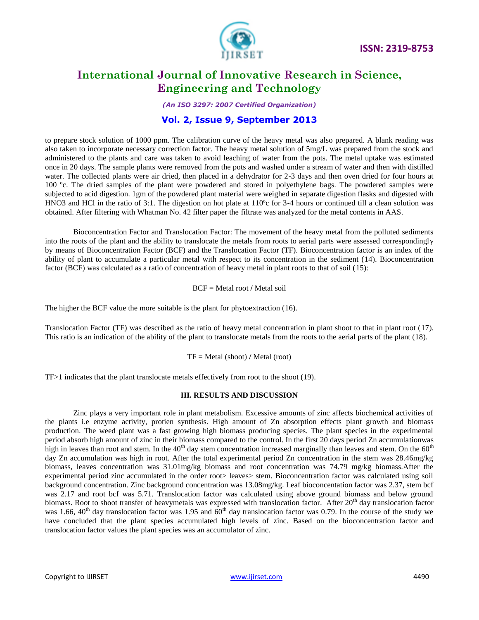

*(An ISO 3297: 2007 Certified Organization)*

### **Vol. 2, Issue 9, September 2013**

to prepare stock solution of 1000 ppm. The calibration curve of the heavy metal was also prepared. A blank reading was also taken to incorporate necessary correction factor. The heavy metal solution of 5mg/L was prepared from the stock and administered to the plants and care was taken to avoid leaching of water from the pots. The metal uptake was estimated once in 20 days. The sample plants were removed from the pots and washed under a stream of water and then with distilled water. The collected plants were air dried, then placed in a dehydrator for 2-3 days and then oven dried for four hours at 100 ºc. The dried samples of the plant were powdered and stored in polyethylene bags. The powdered samples were subjected to acid digestion. 1gm of the powdered plant material were weighed in separate digestion flasks and digested with HNO3 and HCl in the ratio of 3:1. The digestion on hot plate at 110ºc for 3-4 hours or continued till a clean solution was obtained. After filtering with Whatman No. 42 filter paper the filtrate was analyzed for the metal contents in AAS.

Bioconcentration Factor and Translocation Factor: The movement of the heavy metal from the polluted sediments into the roots of the plant and the ability to translocate the metals from roots to aerial parts were assessed correspondingly by means of Bioconcentration Factor (BCF) and the Translocation Factor (TF). Bioconcentration factor is an index of the ability of plant to accumulate a particular metal with respect to its concentration in the sediment [\(14\)](http://scialert.net/fulltext/?doi=jfas.2013.87.93&org=10#645016_ja). Bioconcentration factor (BCF) was calculated as a ratio of concentration of heavy metal in plant roots to that of soil [\(15\)](http://scialert.net/fulltext/?doi=jfas.2013.87.93&org=10#140365_ja):

BCF = Metal root **/** Metal soil

The higher the BCF value the more suitable is the plant for phytoextraction [\(16\)](http://scialert.net/fulltext/?doi=jfas.2013.87.93&org=10#570558_ja).

Translocation Factor (TF) was described as the ratio of heavy metal concentration in plant shoot to that in plant root [\(17\)](http://scialert.net/fulltext/?doi=jfas.2013.87.93&org=10#764673_ja). This ratio is an indication of the ability of the plant to translocate metals from the roots to the aerial parts of the plant [\(18\)](http://scialert.net/fulltext/?doi=jfas.2013.87.93&org=10#959188_ja).

TF = Metal (shoot) **/** Metal (root)

TF>1 indicates that the plant translocate metals effectively from root to the shoot [\(19\)](file:///C:\Documents%20and%20Settings\Administrator\Desktop\Bioconcentration%20factor%20folder\Translocation%20and%20Bioaccumulation%20of%20Trace%20Metals%20in%20Desert%20Plants%20of%20Kuwait%20Governorates.htm%23140354_ja).

#### **III. RESULTS AND DISCUSSION**

Zinc plays a very important role in plant metabolism. Excessive amounts of zinc affects biochemical activities of the plants i.e enzyme activity, protien synthesis. High amount of Zn absorption effects plant growth and biomass production. The weed plant was a fast growing high biomass producing species. The plant species in the experimental period absorb high amount of zinc in their biomass compared to the control. In the first 20 days period Zn accumulationwas high in leaves than root and stem. In the  $40<sup>th</sup>$  day stem concentration increased marginally than leaves and stem. On the  $60<sup>th</sup>$ day Zn accumulation was high in root. After the total experimental period Zn concentration in the stem was 28.46mg/kg biomass, leaves concentration was 31.01mg/kg biomass and root concentration was 74.79 mg/kg biomass.After the experimental period zinc accumulated in the order root> leaves> stem. Bioconcentration factor was calculated using soil background concentration. Zinc background concentration was 13.08mg/kg. Leaf bioconcentation factor was 2.37, stem bcf was 2.17 and root bcf was 5.71. Translocation factor was calculated using above ground biomass and below ground biomass. Root to shoot transfer of heavymetals was expressed with translocation factor. After  $20<sup>th</sup>$  day translocation factor was 1.66, 40<sup>th</sup> day translocation factor was 1.95 and  $60<sup>th</sup>$  day translocation factor was 0.79. In the course of the study we have concluded that the plant species accumulated high levels of zinc. Based on the bioconcentration factor and translocation factor values the plant species was an accumulator of zinc.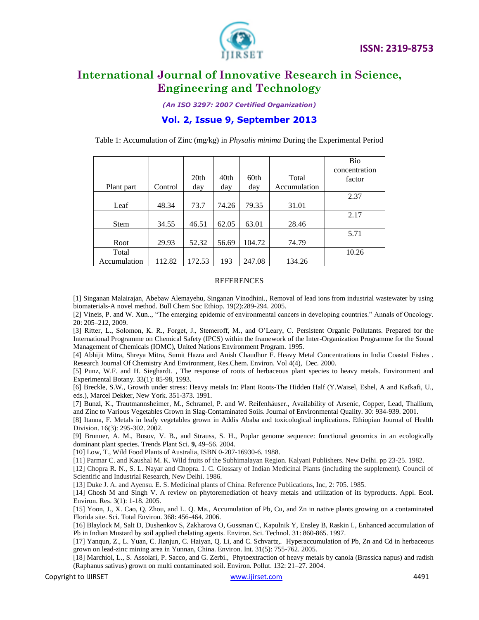

*(An ISO 3297: 2007 Certified Organization)*

### **Vol. 2, Issue 9, September 2013**

Table 1: Accumulation of Zinc (mg/kg) in *Physalis minima* During the Experimental Period

|              |         |                  |       |        |              | Bio           |
|--------------|---------|------------------|-------|--------|--------------|---------------|
|              |         |                  |       |        |              | concentration |
|              |         | 20 <sub>th</sub> | 40th  | 60th   | Total        | factor        |
| Plant part   | Control | day              | day   | day    | Accumulation |               |
|              |         |                  |       |        |              | 2.37          |
| Leaf         | 48.34   | 73.7             | 74.26 | 79.35  | 31.01        |               |
|              |         |                  |       |        |              | 2.17          |
| <b>Stem</b>  | 34.55   | 46.51            | 62.05 | 63.01  | 28.46        |               |
|              |         |                  |       |        |              | 5.71          |
| Root         | 29.93   | 52.32            | 56.69 | 104.72 | 74.79        |               |
| Total        |         |                  |       |        |              | 10.26         |
| Accumulation | 112.82  | 172.53           | 193   | 247.08 | 134.26       |               |

#### REFERENCES

[1] Singanan Malairajan, Abebaw Alemayehu, Singanan Vinodhini., Removal of lead ions from industrial wastewater by using biomaterials-A novel method. Bull Chem Soc Ethiop. 19(2):289-294. 2005.

[2] Vineis, P. and W. Xun.., "The emerging epidemic of environmental cancers in developing countries." Annals of Oncology. 20: 205–212, 2009.

[3] Ritter, L., Solomon, K. R., Forget, J., Stemeroff, M., and O'Leary, C. Persistent Organic Pollutants. Prepared for the International Programme on Chemical Safety (IPCS) within the framework of the Inter-Organization Programme for the Sound Management of Chemicals (IOMC), United Nations Environment Program. 1995.

[4] Abhijit Mitra, Shreya Mitra, Sumit Hazra and Anish Chaudhur F. Heavy Metal Concentrations in India Coastal Fishes . Research Journal Of Chemistry And Environment, Res.Chem. Environ. Vol 4(4), Dec. 2000.

[5] Punz, W.F. and H. Sieghardt. , The response of roots of herbaceous plant species to heavy metals. Environment and Experimental Botany. 33(1): 85-98, 1993.

[6] Breckle, S.W., Growth under stress: Heavy metals In: Plant Roots-The Hidden Half (Y.Waisel, Eshel, A and Kafkafi, U., eds.), Marcel Dekker, New York. 351-373. 1991.

[7] Bunzl, K., Trautmannsheimer, M., Schramel, P. and W. Reifenhäuser., Availability of Arsenic, Copper, Lead, Thallium, and Zinc to Various Vegetables Grown in Slag-Contaminated Soils. Journal of Environmental Quality. 30: 934-939. 2001.

[8] Itanna, F. Metals in leafy vegetables grown in Addis Ababa and toxicological implications. Ethiopian Journal of Health Division. 16(3): 295-302. 2002.

[9] Brunner, A. M., Busov, V. B., and Strauss, S. H., Poplar genome sequence: functional genomics in an ecologically dominant plant species. Trends Plant Sci. **9,** 49–56. 2004.

[10] Low, T., Wild Food Plants of Australia[, ISBN 0-207-16930-6.](http://en.wikipedia.org/wiki/Special:BookSources/0207169306) 1988.

[11] Parmar C. and Kaushal M. K. Wild fruits of the Subhimalayan Region. Kalyani Publishers. New Delhi. pp 23-25. 1982.

[12] Chopra R. N., S. L. Nayar and Chopra. I. C. Glossary of Indian Medicinal Plants (including the supplement). Council of Scientific and Industrial Research, New Delhi. 1986.

[13] Duke J. A. and Ayensu. E. S. Medicinal plants of China. Reference Publications, Inc, 2: 705. 1985.

[14] Ghosh M and Singh V. A review on phytoremediation of heavy metals and utilization of its byproducts. Appl. Ecol. Environ. Res. 3(1): 1-18. 2005.

[15] Yoon, J., X. Cao, Q. Zhou, and L. Q. Ma., Accumulation of Pb, Cu, and Zn in native plants growing on a contaminated Florida site. Sci. Total Environ. 368: 456-464. 2006.

[16] Blaylock M, Salt D, Dushenkov S, Zakharova O, Gussman C, Kapulnik Y, Ensley B, Raskin I., Enhanced accumulation of Pb in Indian Mustard by soil applied chelating agents. Environ. Sci. Technol. 31: 860-865. 1997.

[17] Yanqun, Z., L. Yuan, C. Jianjun, C. Haiyan, Q. Li, and C. Schvartz,. Hyperaccumulation of Pb, Zn and Cd in herbaceous grown on lead-zinc mining area in Yunnan, China. Environ. Int. 31(5): 755-762. 2005.

[18] Marchiol, L., S. Assolari, P. Sacco, and G. Zerbi., Phytoextraction of heavy metals by canola (Brassica napus) and radish (Raphanus sativus) grown on multi contaminated soil. Environ. Pollut. 132: 21–27. 2004.